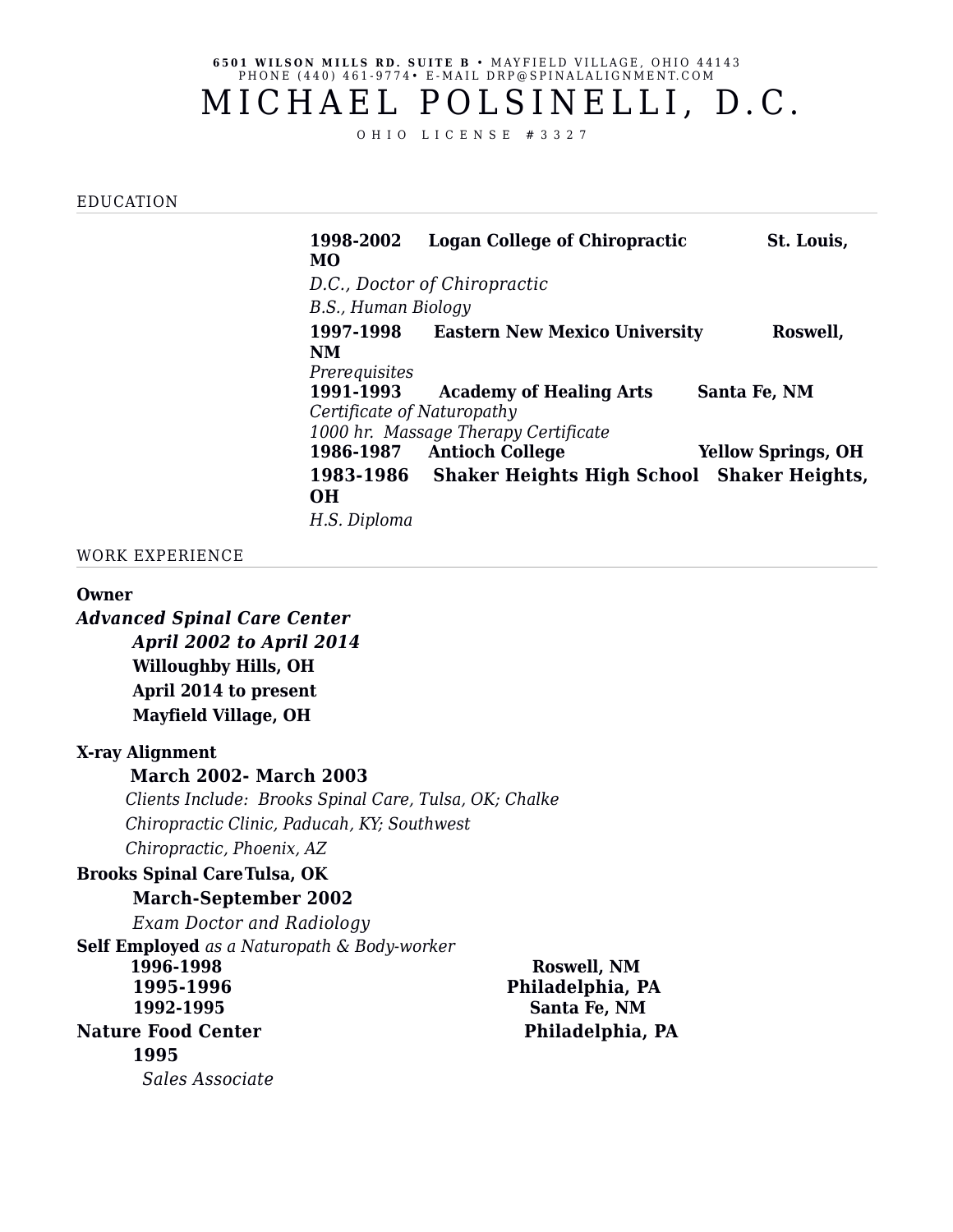#### **6501 WILSON MILLS RD. SUITE B • MAYFIELD VILLAGE, OHIO 44143** PHONE (440) 461-9774 • E-MAIL DRP@SPINALALIGNMENT.COM

# MICHAEL POLSINELLI, D.C.

O H I O L I C E N S E # 3 3 2 7

#### EDUCATION

**1998-2002 Logan College of Chiropractic St. Louis, MO** *D.C., Doctor of Chiropractic B.S., Human Biology* **1997-1998 Eastern New Mexico University Roswell, NM** *Prerequisites* **1991-1993 Academy of Healing Arts Santa Fe, NM** *Certificate of Naturopathy 1000 hr. Massage Therapy Certificate* **1986-1987 Antioch College Yellow Springs, OH 1983-1986 Shaker Heights High School Shaker Heights, OH** *H.S. Diploma*

## WORK EXPERIENCE

#### **Owner**

*Advanced Spinal Care Center April 2002 to April 2014* **Willoughby Hills, OH April 2014 to present Mayfield Village, OH**

# **X-ray Alignment**

#### **March 2002- March 2003**

 *Clients Include: Brooks Spinal Care, Tulsa, OK; Chalke Chiropractic Clinic, Paducah, KY; Southwest Chiropractic, Phoenix, AZ*

# **Brooks Spinal CareTulsa, OK**

## **March-September 2002**

*Exam Doctor and Radiology* **Self Employed** *as a Naturopath & Body-worker* **1996-1998 Roswell, NM 1995-1996 Philadelphia, PA 1992-1995 Santa Fe, NM Nature Food Center Philadelphia, PA 1995**  *Sales Associate*